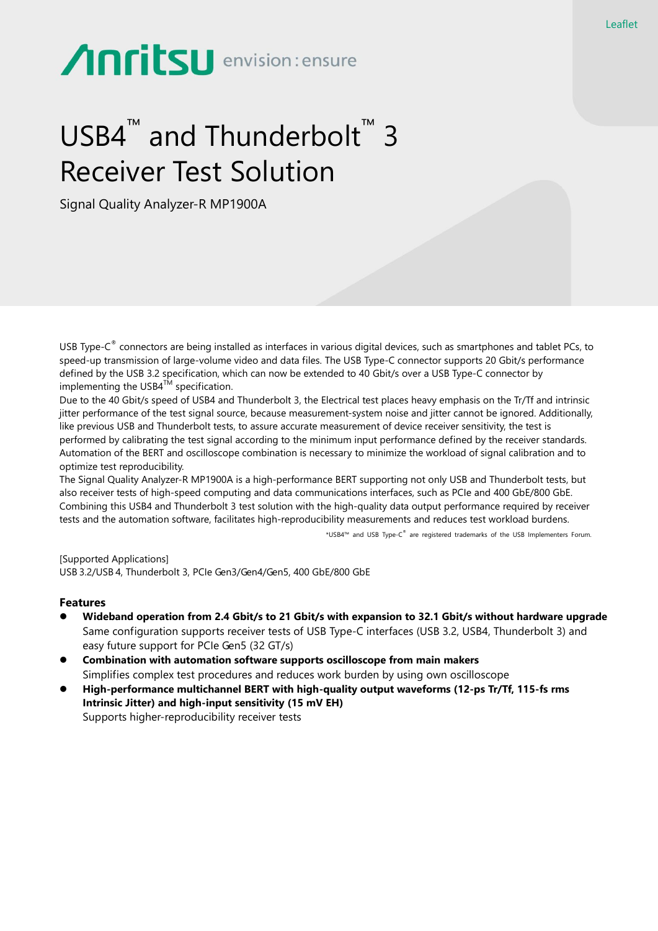# Anritsu envision: ensure

## USB4<sup>™</sup> and Thunderbolt<sup>™</sup> 3 Receiver Test Solution

Signal Quality Analyzer-R MP1900A

USB Type-C ® connectors are being installed as interfaces in various digital devices, such as smartphones and tablet PCs, to speed-up transmission of large-volume video and data files. The USB Type-C connector supports 20 Gbit/s performance defined by the USB 3.2 specification, which can now be extended to 40 Gbit/s over a USB Type-C connector by implementing the USB $4^{TM}$  specification.

Due to the 40 Gbit/s speed of USB4 and Thunderbolt 3, the Electrical test places heavy emphasis on the Tr/Tf and intrinsic jitter performance of the test signal source, because measurement-system noise and jitter cannot be ignored. Additionally, like previous USB and Thunderbolt tests, to assure accurate measurement of device receiver sensitivity, the test is performed by calibrating the test signal according to the minimum input performance defined by the receiver standards. Automation of the BERT and oscilloscope combination is necessary to minimize the workload of signal calibration and to optimize test reproducibility.

The Signal Quality Analyzer-R MP1900A is a high-performance BERT supporting not only USB and Thunderbolt tests, but also receiver tests of high-speed computing and data communications interfaces, such as PCIe and 400 GbE/800 GbE. Combining this USB4 and Thunderbolt 3 test solution with the high-quality data output performance required by receiver tests and the automation software, facilitates high-reproducibility measurements and reduces test workload burdens.

\*USB4™ and USB Type-C ® are registered trademarks of the USB Implementers Forum.

[Supported Applications] USB 3.2/USB 4, Thunderbolt 3, PCIe Gen3/Gen4/Gen5, 400 GbE/800 GbE

### **Features**

- **Wideband operation from 2.4 Gbit/s to 21 Gbit/s with expansion to 32.1 Gbit/s without hardware upgrade** Same configuration supports receiver tests of USB Type-C interfaces (USB 3.2, USB4, Thunderbolt 3) and easy future support for PCIe Gen5 (32 GT/s)
- **Combination with automation software supports oscilloscope from main makers** Simplifies complex test procedures and reduces work burden by using own oscilloscope
- **High-performance multichannel BERT with high-quality output waveforms (12-ps Tr/Tf, 115-fs rms Intrinsic Jitter) and high-input sensitivity (15 mV EH)** Supports higher-reproducibility receiver tests